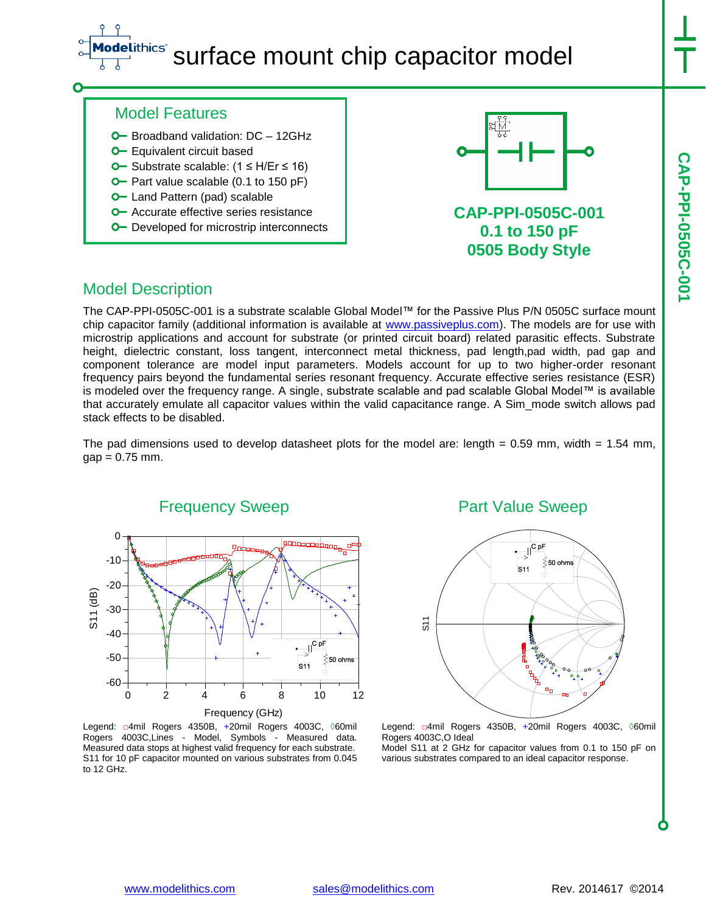### **Lithics**\* surface mount chip capacitor model

## Model Features

- **O** Broadband validation: DC 12GHz
- **O** Equivalent circuit based
- O Substrate scalable: (1 ≤ H/Er ≤ 16)
- $\sim$  Part value scalable (0.1 to 150 pF)
- **O** Land Pattern (pad) scalable
- **O** Accurate effective series resistance
- **O** Developed for microstrip interconnects



## **CAP-PPI-0505C-001 0.1 to 150 pF 0505 Body Style**

## Model Description

The CAP-PPI-0505C-001 is a substrate scalable Global Model™ for the Passive Plus P/N 0505C surface mount chip capacitor family (additional information is available at [www.passiveplus.com\)](http://www.passiveplus.com/). The models are for use with microstrip applications and account for substrate (or printed circuit board) related parasitic effects. Substrate height, dielectric constant, loss tangent, interconnect metal thickness, pad length,pad width, pad gap and component tolerance are model input parameters. Models account for up to two higher-order resonant frequency pairs beyond the fundamental series resonant frequency. Accurate effective series resistance (ESR) is modeled over the frequency range. A single, substrate scalable and pad scalable Global Model™ is available that accurately emulate all capacitor values within the valid capacitance range. A Sim\_mode switch allows pad stack effects to be disabled.

The pad dimensions used to develop datasheet plots for the model are: length =  $0.59$  mm, width =  $1.54$  mm,  $gap = 0.75$  mm.



Legend: □4mil Rogers 4350B, +20mil Rogers 4003C, ◊60mil Rogers 4003C,Lines - Model, Symbols - Measured data. Measured data stops at highest valid frequency for each substrate. S11 for 10 pF capacitor mounted on various substrates from 0.045 to 12 GHz.

#### Part Value Sweep



Legend: □4mil Rogers 4350B, +20mil Rogers 4003C, 060mil Rogers 4003C,O Ideal

Model S11 at 2 GHz for capacitor values from 0.1 to 150 pF on various substrates compared to an ideal capacitor response.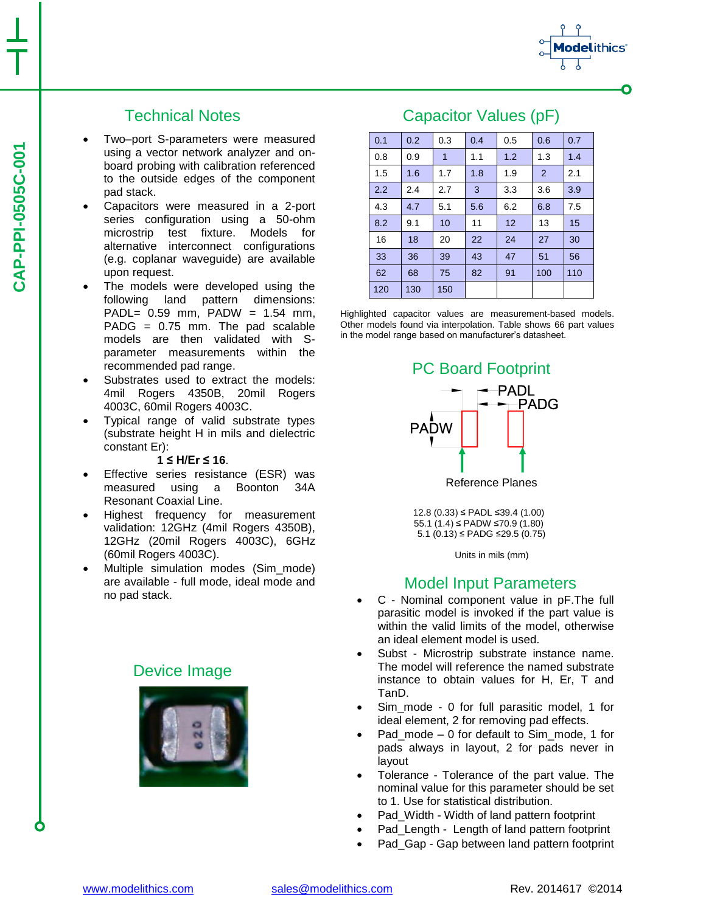# Technical Notes

- Two–port S-parameters were measured using a vector network analyzer and onboard probing with calibration referenced to the outside edges of the component pad stack.
- Capacitors were measured in a 2-port series configuration using a 50-ohm microstrip test fixture. Models for alternative interconnect configurations (e.g. coplanar waveguide) are available upon request.
- The models were developed using the following land pattern dimensions: PADL= 0.59 mm, PADW = 1.54 mm, PADG = 0.75 mm. The pad scalable models are then validated with Sparameter measurements within the recommended pad range.
- Substrates used to extract the models: 4mil Rogers 4350B, 20mil Rogers 4003C, 60mil Rogers 4003C.
- Typical range of valid substrate types (substrate height H in mils and dielectric constant Er):

#### **1 ≤ H/Er ≤ 16**.

- Effective series resistance (ESR) was measured using a Boonton 34A Resonant Coaxial Line.
- Highest frequency for measurement validation: 12GHz (4mil Rogers 4350B), 12GHz (20mil Rogers 4003C), 6GHz (60mil Rogers 4003C).
- Multiple simulation modes (Sim\_mode) are available - full mode, ideal mode and no pad stack.

# Device Image



# Capacitor Values (pF)

0.1 0.2 0.3 0.4 0.5 0.6 0.7 0.8 0.9 1 1.1 1.2 1.3 1.4 1.5 | 1.6 | 1.7 | 1.8 | 1.9 | 2 | 2.1 2.2 2.4 2.7 3 3.3 3.6 3.9 4.3 4.7 5.1 5.6 6.2 6.8 7.5 8.2 9.1 10 11 12 13 15 16 | 18 | 20 | 22 | 24 | 27 | 30 33 36 39 43 47 51 56 62 68 75 82 91 100 110 120 130 150

Highlighted capacitor values are measurement-based models. Other models found via interpolation. Table shows 66 part values in the model range based on manufacturer's datasheet.



12.8 (0.33) ≤ PADL ≤39.4 (1.00) 55.1 (1.4) ≤ PADW ≤70.9 (1.80) 5.1 (0.13) ≤ PADG ≤29.5 (0.75)

Units in mils (mm)

# Model Input Parameters

- C Nominal component value in pF.The full parasitic model is invoked if the part value is within the valid limits of the model, otherwise an ideal element model is used.
- Subst Microstrip substrate instance name. The model will reference the named substrate instance to obtain values for H, Er, T and TanD.
- Sim\_mode 0 for full parasitic model, 1 for ideal element, 2 for removing pad effects.
- Pad\_mode 0 for default to Sim\_mode, 1 for pads always in layout, 2 for pads never in layout
- Tolerance Tolerance of the part value. The nominal value for this parameter should be set to 1. Use for statistical distribution.
- Pad\_Width Width of land pattern footprint
- Pad Length Length of land pattern footprint
- Pad Gap Gap between land pattern footprint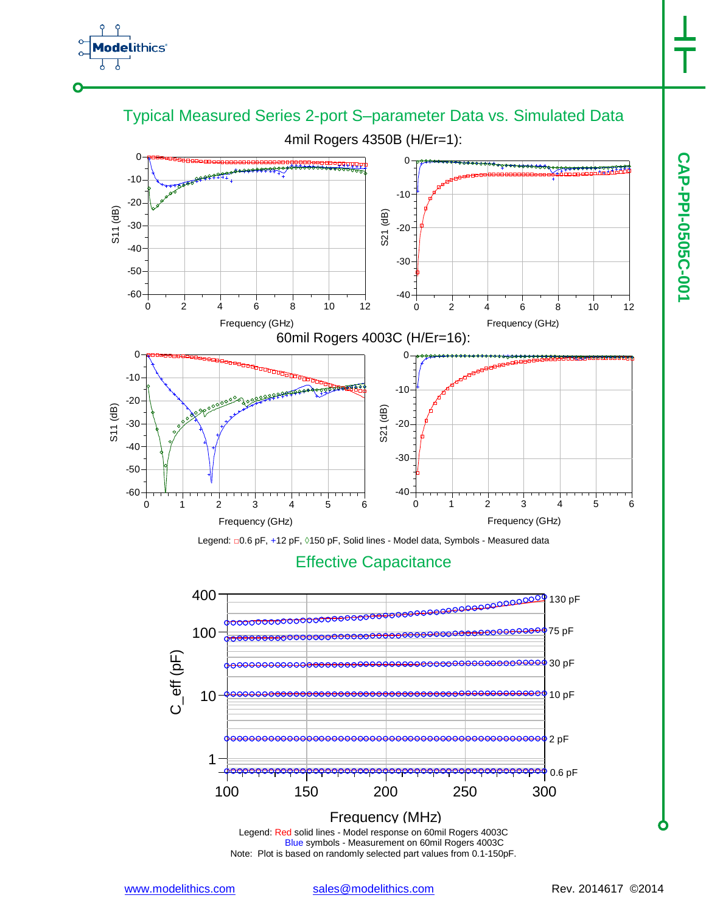# thics<sup>®</sup>



Legend: Red solid lines - Model response on 60mil Rogers 4003C Blue symbols - Measurement on 60mil Rogers 4003C Frequency (MHz)

Note: Plot is based on randomly selected part values from 0.1-150pF.

100 150 200 250 300

10

1

<del>0000000000</del> 10 pF

<del>⁄⊖O</del>o∮2 pF

<sup>504</sup>0.6 pF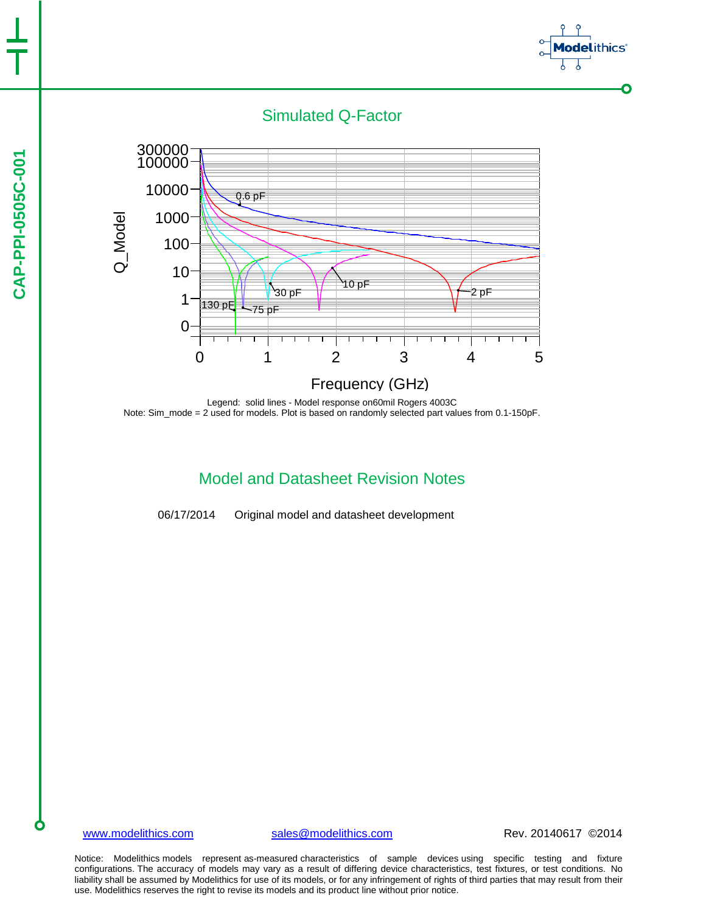



Legend: solid lines - Model response on60mil Rogers 4003C Note: Sim\_mode = 2 used for models. Plot is based on randomly selected part values from 0.1-150pF.

## Model and Datasheet Revision Notes

06/17/2014 Original model and datasheet development

[www.modelithics.com](http://www.modelithics.com/) [sales@modelithics.com](mailto:sales@modelithics.com) Rev. 20140617 ©2014

*ithics*<sup>\*</sup>

 $\bullet$ 

Notice: Modelithics models represent as-measured characteristics of sample devices using specific testing and fixture configurations. The accuracy of models may vary as a result of differing device characteristics, test fixtures, or test conditions. No liability shall be assumed by Modelithics for use of its models, or for any infringement of rights of third parties that may result from their use. Modelithics reserves the right to revise its models and its product line without prior notice.